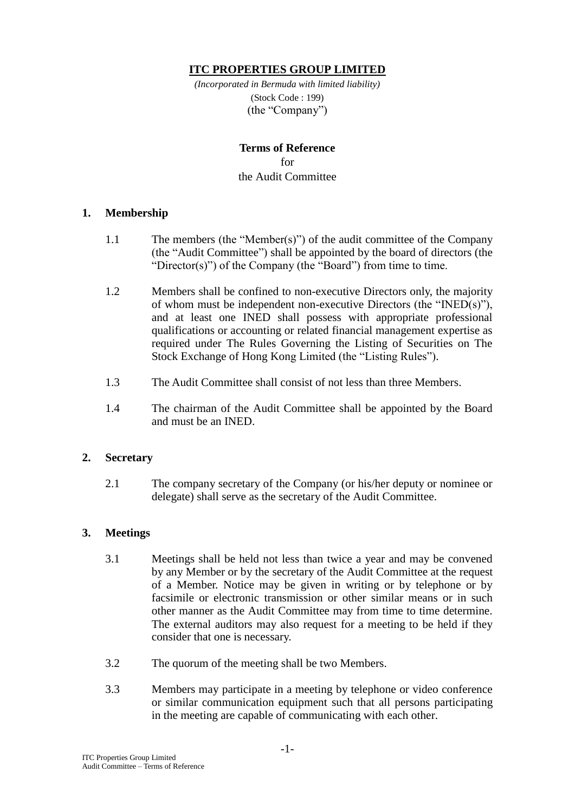## **ITC PROPERTIES GROUP LIMITED**

*(Incorporated in Bermuda with limited liability)* (Stock Code : 199) (the "Company")

# **Terms of Reference** for the Audit Committee

### **1. Membership**

- 1.1 The members (the "Member(s)") of the audit committee of the Company (the "Audit Committee") shall be appointed by the board of directors (the "Director(s)") of the Company (the "Board") from time to time.
- 1.2 Members shall be confined to non-executive Directors only, the majority of whom must be independent non-executive Directors (the "INED(s)"), and at least one INED shall possess with appropriate professional qualifications or accounting or related financial management expertise as required under The Rules Governing the Listing of Securities on The Stock Exchange of Hong Kong Limited (the "Listing Rules").
- 1.3 The Audit Committee shall consist of not less than three Members.
- 1.4 The chairman of the Audit Committee shall be appointed by the Board and must be an INED.

#### **2. Secretary**

2.1 The company secretary of the Company (or his/her deputy or nominee or delegate) shall serve as the secretary of the Audit Committee.

### **3. Meetings**

- 3.1 Meetings shall be held not less than twice a year and may be convened by any Member or by the secretary of the Audit Committee at the request of a Member. Notice may be given in writing or by telephone or by facsimile or electronic transmission or other similar means or in such other manner as the Audit Committee may from time to time determine. The external auditors may also request for a meeting to be held if they consider that one is necessary.
- 3.2 The quorum of the meeting shall be two Members.
- 3.3 Members may participate in a meeting by telephone or video conference or similar communication equipment such that all persons participating in the meeting are capable of communicating with each other.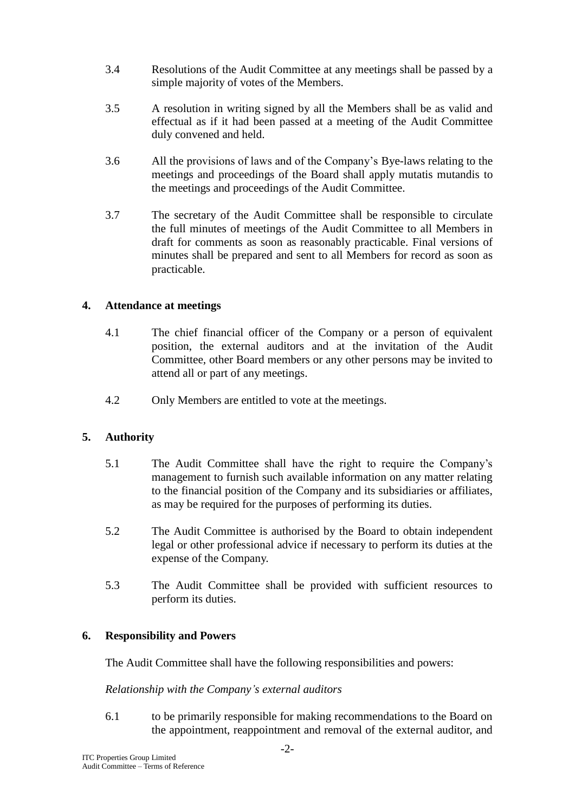- 3.4 Resolutions of the Audit Committee at any meetings shall be passed by a simple majority of votes of the Members.
- 3.5 A resolution in writing signed by all the Members shall be as valid and effectual as if it had been passed at a meeting of the Audit Committee duly convened and held.
- 3.6 All the provisions of laws and of the Company's Bye-laws relating to the meetings and proceedings of the Board shall apply mutatis mutandis to the meetings and proceedings of the Audit Committee.
- 3.7 The secretary of the Audit Committee shall be responsible to circulate the full minutes of meetings of the Audit Committee to all Members in draft for comments as soon as reasonably practicable. Final versions of minutes shall be prepared and sent to all Members for record as soon as practicable.

### **4. Attendance at meetings**

- 4.1 The chief financial officer of the Company or a person of equivalent position, the external auditors and at the invitation of the Audit Committee, other Board members or any other persons may be invited to attend all or part of any meetings.
- 4.2 Only Members are entitled to vote at the meetings.

## **5. Authority**

- 5.1 The Audit Committee shall have the right to require the Company's management to furnish such available information on any matter relating to the financial position of the Company and its subsidiaries or affiliates, as may be required for the purposes of performing its duties.
- 5.2 The Audit Committee is authorised by the Board to obtain independent legal or other professional advice if necessary to perform its duties at the expense of the Company.
- 5.3 The Audit Committee shall be provided with sufficient resources to perform its duties.

### **6. Responsibility and Powers**

The Audit Committee shall have the following responsibilities and powers:

### *Relationship with the Company's external auditors*

6.1 to be primarily responsible for making recommendations to the Board on the appointment, reappointment and removal of the external auditor, and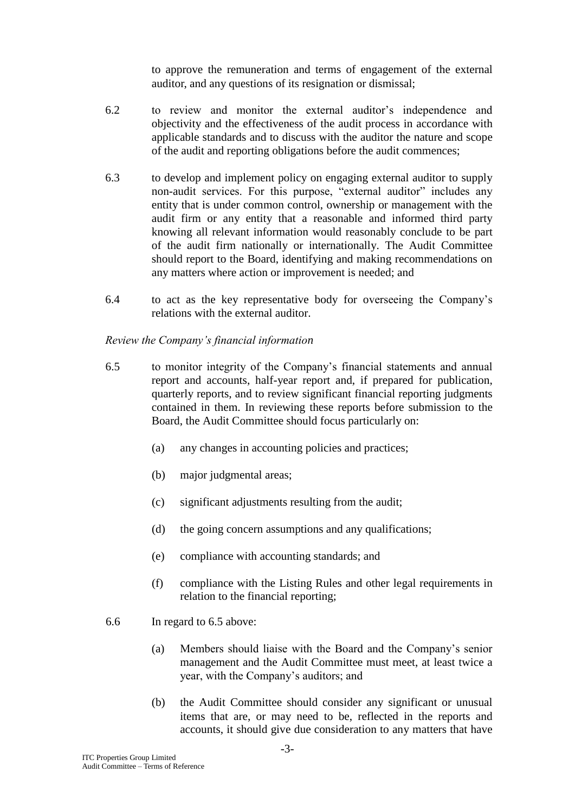to approve the remuneration and terms of engagement of the external auditor, and any questions of its resignation or dismissal;

- 6.2 to review and monitor the external auditor's independence and objectivity and the effectiveness of the audit process in accordance with applicable standards and to discuss with the auditor the nature and scope of the audit and reporting obligations before the audit commences;
- 6.3 to develop and implement policy on engaging external auditor to supply non-audit services. For this purpose, "external auditor" includes any entity that is under common control, ownership or management with the audit firm or any entity that a reasonable and informed third party knowing all relevant information would reasonably conclude to be part of the audit firm nationally or internationally. The Audit Committee should report to the Board, identifying and making recommendations on any matters where action or improvement is needed; and
- 6.4 to act as the key representative body for overseeing the Company's relations with the external auditor.

### *Review the Company's financial information*

- 6.5 to monitor integrity of the Company's financial statements and annual report and accounts, half-year report and, if prepared for publication, quarterly reports, and to review significant financial reporting judgments contained in them. In reviewing these reports before submission to the Board, the Audit Committee should focus particularly on:
	- (a) any changes in accounting policies and practices;
	- (b) major judgmental areas;
	- (c) significant adjustments resulting from the audit;
	- (d) the going concern assumptions and any qualifications;
	- (e) compliance with accounting standards; and
	- (f) compliance with the Listing Rules and other legal requirements in relation to the financial reporting;
- 6.6 In regard to 6.5 above:
	- (a) Members should liaise with the Board and the Company's senior management and the Audit Committee must meet, at least twice a year, with the Company's auditors; and
	- (b) the Audit Committee should consider any significant or unusual items that are, or may need to be, reflected in the reports and accounts, it should give due consideration to any matters that have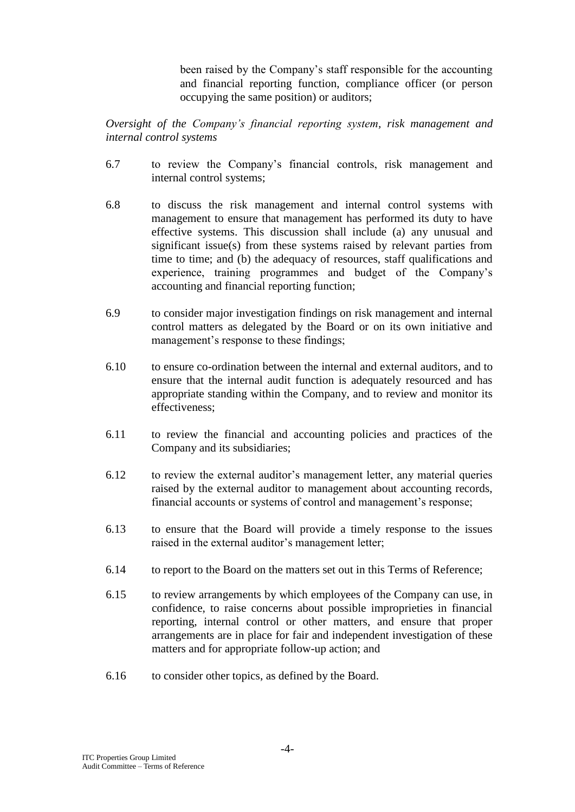been raised by the Company's staff responsible for the accounting and financial reporting function, compliance officer (or person occupying the same position) or auditors;

*Oversight of the Company's financial reporting system, risk management and internal control systems*

- 6.7 to review the Company's financial controls, risk management and internal control systems;
- 6.8 to discuss the risk management and internal control systems with management to ensure that management has performed its duty to have effective systems. This discussion shall include (a) any unusual and significant issue(s) from these systems raised by relevant parties from time to time; and (b) the adequacy of resources, staff qualifications and experience, training programmes and budget of the Company's accounting and financial reporting function;
- 6.9 to consider major investigation findings on risk management and internal control matters as delegated by the Board or on its own initiative and management's response to these findings;
- 6.10 to ensure co-ordination between the internal and external auditors, and to ensure that the internal audit function is adequately resourced and has appropriate standing within the Company, and to review and monitor its effectiveness;
- 6.11 to review the financial and accounting policies and practices of the Company and its subsidiaries;
- 6.12 to review the external auditor's management letter, any material queries raised by the external auditor to management about accounting records, financial accounts or systems of control and management's response;
- 6.13 to ensure that the Board will provide a timely response to the issues raised in the external auditor's management letter;
- 6.14 to report to the Board on the matters set out in this Terms of Reference;
- 6.15 to review arrangements by which employees of the Company can use, in confidence, to raise concerns about possible improprieties in financial reporting, internal control or other matters, and ensure that proper arrangements are in place for fair and independent investigation of these matters and for appropriate follow-up action; and
- 6.16 to consider other topics, as defined by the Board.